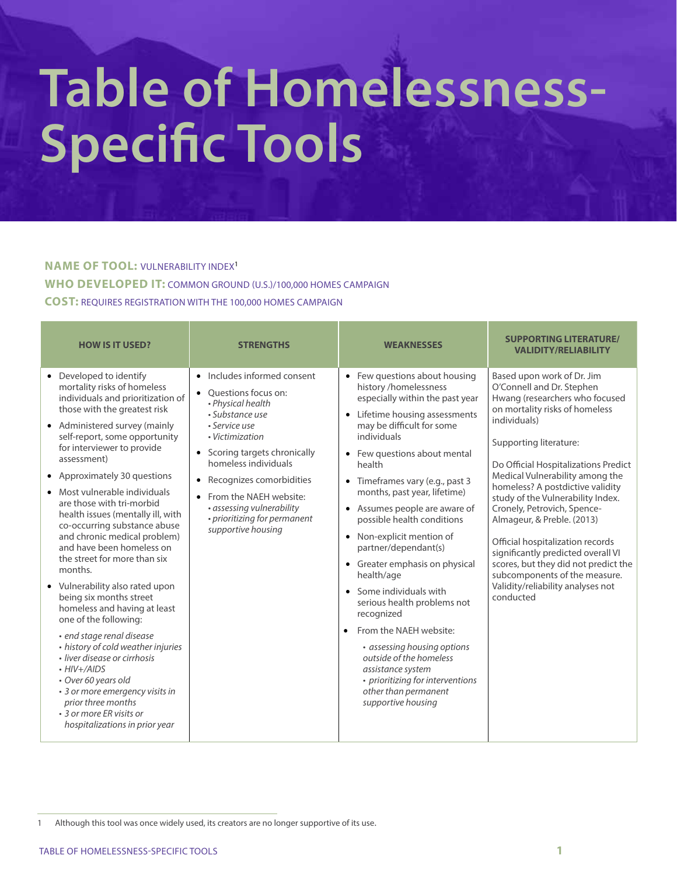# **Table of Homelessness-Specific Tools**

## **NAME OF TOOL:** VULNERABILITY INDEX<sup>1</sup>

**WHO DEVELOPED IT:** COMMON GROUND (U.S.)/100,000 HOMES CAMPAIGN

**COST:** REQUIRES REGISTRATION WITH THE 100,000 HOMES CAMPAIGN

| <b>HOW IS IT USED?</b>                                                                                                                                                                                                                                                                                                                                                                                                                                                                                                                                                                                                                                                                                                                                                                                                                                                                                           | <b>STRENGTHS</b>                                                                                                                                                                                                                                                                                                                                           | <b>WEAKNESSES</b>                                                                                                                                                                                                                                                                                                                                                                                                                                                                                                                                                                                                                                                                                                                        | <b>SUPPORTING LITERATURE/</b><br><b>VALIDITY/RELIABILITY</b>                                                                                                                                                                                                                                                                                                                                                                                                                                                                                                                                |
|------------------------------------------------------------------------------------------------------------------------------------------------------------------------------------------------------------------------------------------------------------------------------------------------------------------------------------------------------------------------------------------------------------------------------------------------------------------------------------------------------------------------------------------------------------------------------------------------------------------------------------------------------------------------------------------------------------------------------------------------------------------------------------------------------------------------------------------------------------------------------------------------------------------|------------------------------------------------------------------------------------------------------------------------------------------------------------------------------------------------------------------------------------------------------------------------------------------------------------------------------------------------------------|------------------------------------------------------------------------------------------------------------------------------------------------------------------------------------------------------------------------------------------------------------------------------------------------------------------------------------------------------------------------------------------------------------------------------------------------------------------------------------------------------------------------------------------------------------------------------------------------------------------------------------------------------------------------------------------------------------------------------------------|---------------------------------------------------------------------------------------------------------------------------------------------------------------------------------------------------------------------------------------------------------------------------------------------------------------------------------------------------------------------------------------------------------------------------------------------------------------------------------------------------------------------------------------------------------------------------------------------|
| • Developed to identify<br>mortality risks of homeless<br>individuals and prioritization of<br>those with the greatest risk<br>• Administered survey (mainly<br>self-report, some opportunity<br>for interviewer to provide<br>assessment)<br>• Approximately 30 questions<br>Most vulnerable individuals<br>are those with tri-morbid<br>health issues (mentally ill, with<br>co-occurring substance abuse<br>and chronic medical problem)<br>and have been homeless on<br>the street for more than six<br>months.<br>• Vulnerability also rated upon<br>being six months street<br>homeless and having at least<br>one of the following:<br>· end stage renal disease<br>• history of cold weather injuries<br>· liver disease or cirrhosis<br>$\cdot$ HIV+/AIDS<br>• Over 60 years old<br>• 3 or more emergency visits in<br>prior three months<br>• 3 or more ER visits or<br>hospitalizations in prior year | • Includes informed consent<br>• Ouestions focus on:<br>• Physical health<br>• Substance use<br>• Service use<br>• Victimization<br>Scoring targets chronically<br>$\bullet$<br>homeless individuals<br>Recognizes comorbidities<br>$\bullet$<br>From the NAEH website:<br>• assessing vulnerability<br>• prioritizing for permanent<br>supportive housing | • Few questions about housing<br>history /homelessness<br>especially within the past year<br>• Lifetime housing assessments<br>may be difficult for some<br>individuals<br>• Few questions about mental<br>health<br>• Timeframes vary (e.g., past 3<br>months, past year, lifetime)<br>• Assumes people are aware of<br>possible health conditions<br>• Non-explicit mention of<br>partner/dependant(s)<br>• Greater emphasis on physical<br>health/age<br>• Some individuals with<br>serious health problems not<br>recognized<br>From the NAEH website:<br>$\bullet$<br>• assessing housing options<br>outside of the homeless<br>assistance system<br>• prioritizing for interventions<br>other than permanent<br>supportive housing | Based upon work of Dr. Jim<br>O'Connell and Dr. Stephen<br>Hwang (researchers who focused<br>on mortality risks of homeless<br>individuals)<br>Supporting literature:<br>Do Official Hospitalizations Predict<br>Medical Vulnerability among the<br>homeless? A postdictive validity<br>study of the Vulnerability Index.<br>Cronely, Petrovich, Spence-<br>Almageur, & Preble. (2013)<br>Official hospitalization records<br>significantly predicted overall VI<br>scores, but they did not predict the<br>subcomponents of the measure.<br>Validity/reliability analyses not<br>conducted |

<sup>1</sup> Although this tool was once widely used, its creators are no longer supportive of its use.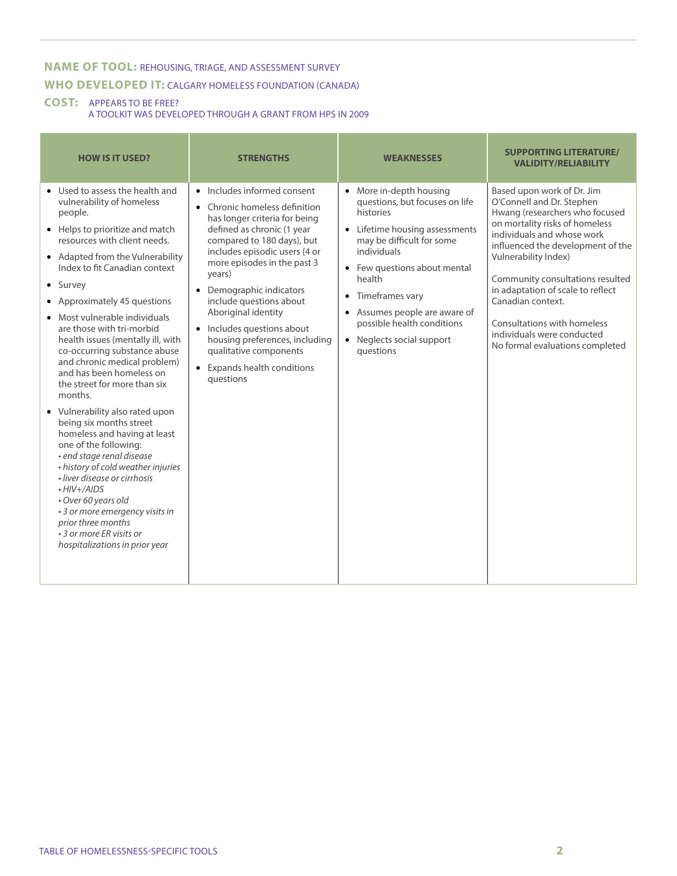### **NAME OF TOOL:** REHOUSING, TRIAGE, AND ASSESSMENT SURVEY **WHO DEVELOPED IT:** CALGARY HOMELESS FOUNDATION (CANADA)

#### **COST:** APPEARS TO BE FREE?

A TOOLKIT WAS DEVELOPED THROUGH A GRANT FROM HPS IN 2009

| <b>HOW IS IT USED?</b>                                                                                                                                                                                                                                                                                                                                                                                                                                                                                                                                                                                                                                                                                                                                                                                                                                                                                 | <b>STRENGTHS</b>                                                                                                                                                                                                                                                                                                                                                                                                                                                                                  | <b>WEAKNESSES</b>                                                                                                                                                                                                                                                                                                                                | <b>SUPPORTING LITERATURE/</b><br><b>VALIDITY/RELIABILITY</b>                                                                                                                                                                                                                                                                                                                                                         |
|--------------------------------------------------------------------------------------------------------------------------------------------------------------------------------------------------------------------------------------------------------------------------------------------------------------------------------------------------------------------------------------------------------------------------------------------------------------------------------------------------------------------------------------------------------------------------------------------------------------------------------------------------------------------------------------------------------------------------------------------------------------------------------------------------------------------------------------------------------------------------------------------------------|---------------------------------------------------------------------------------------------------------------------------------------------------------------------------------------------------------------------------------------------------------------------------------------------------------------------------------------------------------------------------------------------------------------------------------------------------------------------------------------------------|--------------------------------------------------------------------------------------------------------------------------------------------------------------------------------------------------------------------------------------------------------------------------------------------------------------------------------------------------|----------------------------------------------------------------------------------------------------------------------------------------------------------------------------------------------------------------------------------------------------------------------------------------------------------------------------------------------------------------------------------------------------------------------|
| • Used to assess the health and<br>vulnerability of homeless<br>people.<br>Helps to prioritize and match<br>$\bullet$<br>resources with client needs.<br>• Adapted from the Vulnerability<br>Index to fit Canadian context<br>• Survey<br>• Approximately 45 questions<br>Most vulnerable individuals<br>are those with tri-morbid<br>health issues (mentally ill, with<br>co-occurring substance abuse<br>and chronic medical problem)<br>and has been homeless on<br>the street for more than six<br>months.<br>• Vulnerability also rated upon<br>being six months street<br>homeless and having at least<br>one of the following:<br>· end stage renal disease<br>• history of cold weather injuries<br>· liver disease or cirrhosis<br>$-HIV+/AIDS$<br>• Over 60 years old<br>• 3 or more emergency visits in<br>prior three months<br>• 3 or more ER visits or<br>hospitalizations in prior year | Includes informed consent<br>$\bullet$<br>Chronic homeless definition<br>$\bullet$<br>has longer criteria for being<br>defined as chronic (1 year<br>compared to 180 days), but<br>includes episodic users (4 or<br>more episodes in the past 3<br>years)<br>Demographic indicators<br>$\bullet$<br>include questions about<br>Aboriginal identity<br>Includes questions about<br>$\bullet$<br>housing preferences, including<br>qualitative components<br>Expands health conditions<br>auestions | • More in-depth housing<br>questions, but focuses on life<br>histories<br>• Lifetime housing assessments<br>may be difficult for some<br>individuals<br>• Few questions about mental<br>health<br>Timeframes vary<br>$\bullet$<br>Assumes people are aware of<br>possible health conditions<br>Neglects social support<br>$\bullet$<br>questions | Based upon work of Dr. Jim<br>O'Connell and Dr. Stephen<br>Hwang (researchers who focused<br>on mortality risks of homeless<br>individuals and whose work<br>influenced the development of the<br>Vulnerability Index)<br>Community consultations resulted<br>in adaptation of scale to reflect<br>Canadian context.<br>Consultations with homeless<br>individuals were conducted<br>No formal evaluations completed |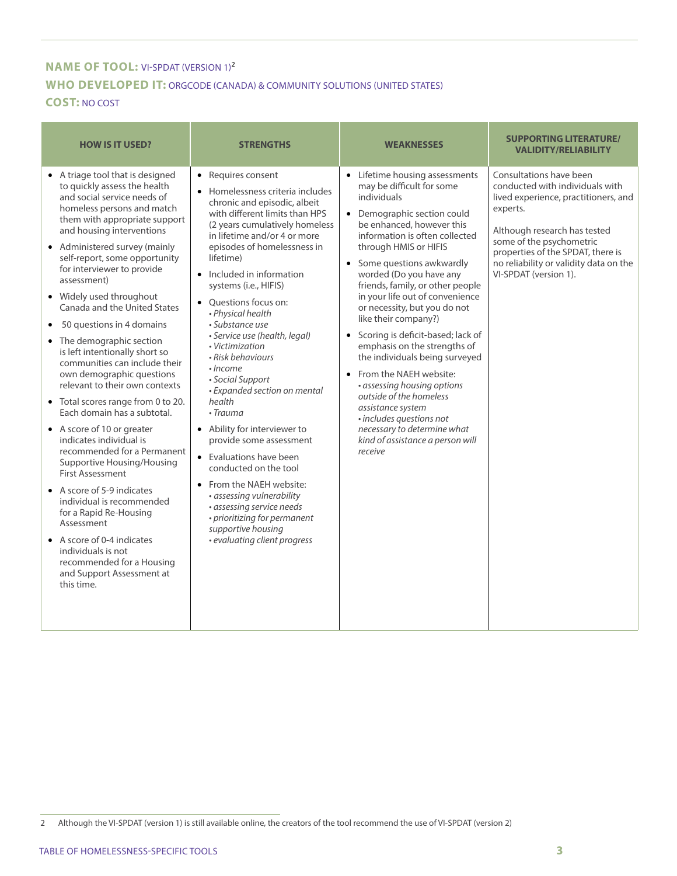# **NAME OF TOOL: VI-SPDAT (VERSION 1)<sup>2</sup> WHO DEVELOPED IT:** ORGCODE (CANADA) & COMMUNITY SOLUTIONS (UNITED STATES)

#### **COST:** NO COST

| <b>HOW IS IT USED?</b>                                                                                                                                                                                                                                                                                                                                                                                                                                                                                                                                                                                                                                                                                                                                                                                                                                                                                                                                                                                                          | <b>STRENGTHS</b>                                                                                                                                                                                                                                                                                                                                                                                                                                                                                                                                                                                                                                                                                                                                                                                                                  | <b>WEAKNESSES</b>                                                                                                                                                                                                                                                                                                                                                                                                                                                                                                                                                                                                                                                                                                       | <b>SUPPORTING LITERATURE/</b><br><b>VALIDITY/RELIABILITY</b>                                                                                                                                                                                                                       |
|---------------------------------------------------------------------------------------------------------------------------------------------------------------------------------------------------------------------------------------------------------------------------------------------------------------------------------------------------------------------------------------------------------------------------------------------------------------------------------------------------------------------------------------------------------------------------------------------------------------------------------------------------------------------------------------------------------------------------------------------------------------------------------------------------------------------------------------------------------------------------------------------------------------------------------------------------------------------------------------------------------------------------------|-----------------------------------------------------------------------------------------------------------------------------------------------------------------------------------------------------------------------------------------------------------------------------------------------------------------------------------------------------------------------------------------------------------------------------------------------------------------------------------------------------------------------------------------------------------------------------------------------------------------------------------------------------------------------------------------------------------------------------------------------------------------------------------------------------------------------------------|-------------------------------------------------------------------------------------------------------------------------------------------------------------------------------------------------------------------------------------------------------------------------------------------------------------------------------------------------------------------------------------------------------------------------------------------------------------------------------------------------------------------------------------------------------------------------------------------------------------------------------------------------------------------------------------------------------------------------|------------------------------------------------------------------------------------------------------------------------------------------------------------------------------------------------------------------------------------------------------------------------------------|
| • A triage tool that is designed<br>to quickly assess the health<br>and social service needs of<br>homeless persons and match<br>them with appropriate support<br>and housing interventions<br>• Administered survey (mainly<br>self-report, some opportunity<br>for interviewer to provide<br>assessment)<br>• Widely used throughout<br>Canada and the United States<br>50 questions in 4 domains<br>• The demographic section<br>is left intentionally short so<br>communities can include their<br>own demographic questions<br>relevant to their own contexts<br>• Total scores range from 0 to 20.<br>Each domain has a subtotal.<br>• A score of 10 or greater<br>indicates individual is<br>recommended for a Permanent<br>Supportive Housing/Housing<br><b>First Assessment</b><br>• A score of 5-9 indicates<br>individual is recommended<br>for a Rapid Re-Housing<br>Assessment<br>$\bullet$ A score of 0-4 indicates<br>individuals is not<br>recommended for a Housing<br>and Support Assessment at<br>this time. | • Requires consent<br>Homelessness criteria includes<br>chronic and episodic, albeit<br>with different limits than HPS<br>(2 years cumulatively homeless<br>in lifetime and/or 4 or more<br>episodes of homelessness in<br>lifetime)<br>• Included in information<br>systems (i.e., HIFIS)<br>• Ouestions focus on:<br>• Physical health<br>• Substance use<br>· Service use (health, legal)<br>• Victimization<br>• Risk behaviours<br>$\cdot$ Income<br>• Social Support<br>• Expanded section on mental<br>health<br>$\cdot$ Trauma<br>• Ability for interviewer to<br>provide some assessment<br>• Evaluations have been<br>conducted on the tool<br>• From the NAEH website:<br>· assessing vulnerability<br>· assessing service needs<br>• prioritizing for permanent<br>supportive housing<br>· evaluating client progress | • Lifetime housing assessments<br>may be difficult for some<br>individuals<br>• Demographic section could<br>be enhanced, however this<br>information is often collected<br>through HMIS or HIFIS<br>• Some questions awkwardly<br>worded (Do you have any<br>friends, family, or other people<br>in your life out of convenience<br>or necessity, but you do not<br>like their company?)<br>• Scoring is deficit-based; lack of<br>emphasis on the strengths of<br>the individuals being surveyed<br>• From the NAEH website:<br>• assessing housing options<br>outside of the homeless<br>assistance system<br>· includes questions not<br>necessary to determine what<br>kind of assistance a person will<br>receive | Consultations have been<br>conducted with individuals with<br>lived experience, practitioners, and<br>experts.<br>Although research has tested<br>some of the psychometric<br>properties of the SPDAT, there is<br>no reliability or validity data on the<br>VI-SPDAT (version 1). |

<sup>2</sup> Although the VI-SPDAT (version 1) is still available online, the creators of the tool recommend the use of VI-SPDAT (version 2)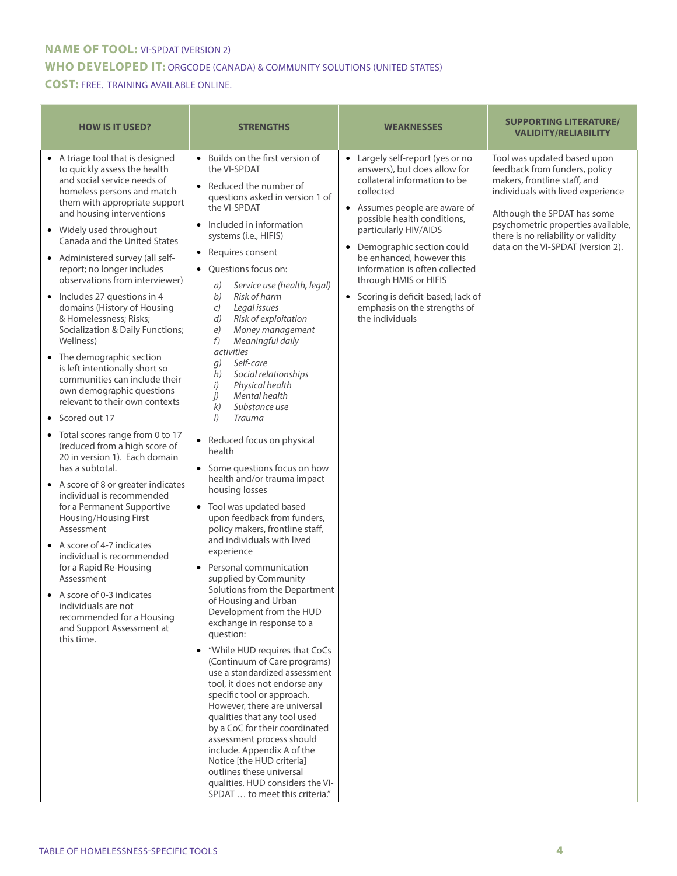#### **NAME OF TOOL:** VI-SPDAT (VERSION 2)

#### **WHO DEVELOPED IT:** ORGCODE (CANADA) & COMMUNITY SOLUTIONS (UNITED STATES)

#### **COST:** FREE. TRAINING AVAILABLE ONLINE.

| <b>HOW IS IT USED?</b>                                                                                                                                                                                                                                                                                                                                                                                                                                                                                                                                                                                                                                                                                                                                                                                                                                                                                                                                                                                                                                                                                                                                                                     | <b>STRENGTHS</b>                                                                                                                                                                                                                                                                                                                                                                                                                                                                                                                                                                                                                                                                                                                                                                                                                                                                                                                                                                                                                                                                                                                                                                                                                                                                                                                                                                                                                                                                                                 | <b>WEAKNESSES</b>                                                                                                                                                                                                                                                                                                                                                                                                            | <b>SUPPORTING LITERATURE/</b><br><b>VALIDITY/RELIABILITY</b>                                                                                                                                                                                                                       |
|--------------------------------------------------------------------------------------------------------------------------------------------------------------------------------------------------------------------------------------------------------------------------------------------------------------------------------------------------------------------------------------------------------------------------------------------------------------------------------------------------------------------------------------------------------------------------------------------------------------------------------------------------------------------------------------------------------------------------------------------------------------------------------------------------------------------------------------------------------------------------------------------------------------------------------------------------------------------------------------------------------------------------------------------------------------------------------------------------------------------------------------------------------------------------------------------|------------------------------------------------------------------------------------------------------------------------------------------------------------------------------------------------------------------------------------------------------------------------------------------------------------------------------------------------------------------------------------------------------------------------------------------------------------------------------------------------------------------------------------------------------------------------------------------------------------------------------------------------------------------------------------------------------------------------------------------------------------------------------------------------------------------------------------------------------------------------------------------------------------------------------------------------------------------------------------------------------------------------------------------------------------------------------------------------------------------------------------------------------------------------------------------------------------------------------------------------------------------------------------------------------------------------------------------------------------------------------------------------------------------------------------------------------------------------------------------------------------------|------------------------------------------------------------------------------------------------------------------------------------------------------------------------------------------------------------------------------------------------------------------------------------------------------------------------------------------------------------------------------------------------------------------------------|------------------------------------------------------------------------------------------------------------------------------------------------------------------------------------------------------------------------------------------------------------------------------------|
| • A triage tool that is designed<br>to quickly assess the health<br>and social service needs of<br>homeless persons and match<br>them with appropriate support<br>and housing interventions<br>• Widely used throughout<br>Canada and the United States<br>• Administered survey (all self-<br>report; no longer includes<br>observations from interviewer)<br>• Includes 27 questions in 4<br>domains (History of Housing<br>& Homelessness; Risks;<br>Socialization & Daily Functions;<br>Wellness)<br>• The demographic section<br>is left intentionally short so<br>communities can include their<br>own demographic questions<br>relevant to their own contexts<br>• Scored out 17<br>• Total scores range from 0 to 17<br>(reduced from a high score of<br>20 in version 1). Each domain<br>has a subtotal.<br>• A score of 8 or greater indicates<br>individual is recommended<br>for a Permanent Supportive<br>Housing/Housing First<br>Assessment<br>• A score of 4-7 indicates<br>individual is recommended<br>for a Rapid Re-Housing<br>Assessment<br>• A score of 0-3 indicates<br>individuals are not<br>recommended for a Housing<br>and Support Assessment at<br>this time. | • Builds on the first version of<br>the VI-SPDAT<br>• Reduced the number of<br>questions asked in version 1 of<br>the VI-SPDAT<br>• Included in information<br>systems (i.e., HIFIS)<br>• Requires consent<br>• Questions focus on:<br>Service use (health, legal)<br>a)<br>Risk of harm<br>b)<br>Legal issues<br>C)<br>Risk of exploitation<br>d)<br>Money management<br>e)<br>f)<br>Meaningful daily<br><i>activities</i><br>Self-care<br>g)<br>Social relationships<br>h)<br>Physical health<br>i)<br>j)<br>Mental health<br>Substance use<br>k)<br><b>Trauma</b><br>$\left  \right $<br>• Reduced focus on physical<br>health<br>• Some questions focus on how<br>health and/or trauma impact<br>housing losses<br>• Tool was updated based<br>upon feedback from funders,<br>policy makers, frontline staff,<br>and individuals with lived<br>experience<br>• Personal communication<br>supplied by Community<br>Solutions from the Department<br>of Housing and Urban<br>Development from the HUD<br>exchange in response to a<br>question:<br>• "While HUD requires that CoCs<br>(Continuum of Care programs)<br>use a standardized assessment<br>tool, it does not endorse any<br>specific tool or approach.<br>However, there are universal<br>qualities that any tool used<br>by a CoC for their coordinated<br>assessment process should<br>include. Appendix A of the<br>Notice [the HUD criteria]<br>outlines these universal<br>qualities. HUD considers the VI-<br>SPDAT  to meet this criteria." | Largely self-report (yes or no<br>answers), but does allow for<br>collateral information to be<br>collected<br>Assumes people are aware of<br>possible health conditions,<br>particularly HIV/AIDS<br>Demographic section could<br>$\bullet$<br>be enhanced, however this<br>information is often collected<br>through HMIS or HIFIS<br>Scoring is deficit-based; lack of<br>emphasis on the strengths of<br>the individuals | Tool was updated based upon<br>feedback from funders, policy<br>makers, frontline staff, and<br>individuals with lived experience<br>Although the SPDAT has some<br>psychometric properties available,<br>there is no reliability or validity<br>data on the VI-SPDAT (version 2). |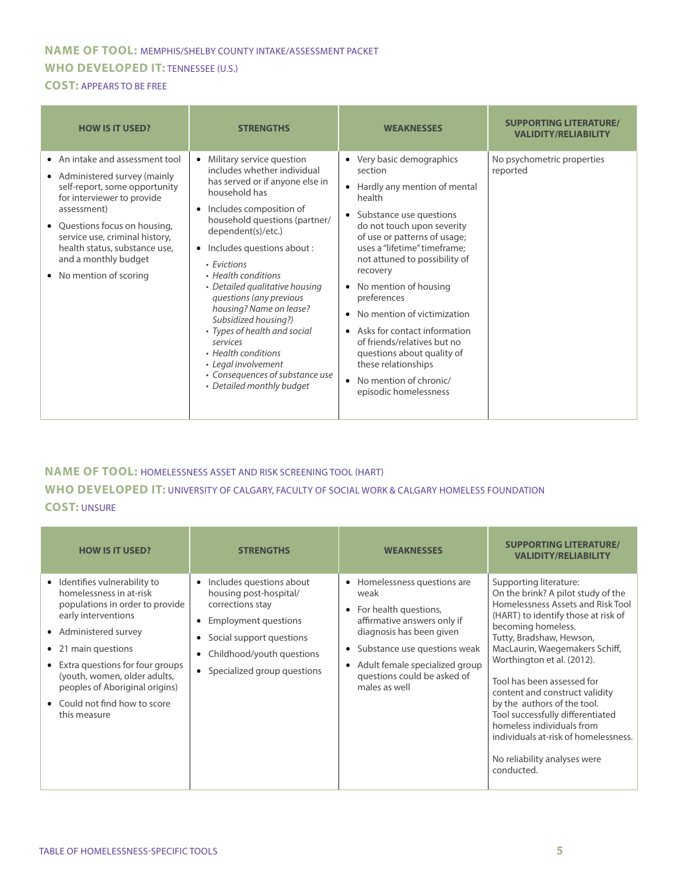## **NAME OF TOOL:** MEMPHIS/SHELBY COUNTY INTAKE/ASSESSMENT PACKET **WHO DEVELOPED IT:** TENNESSEE (U.S.)

**COST:** APPEARS TO BE FREE

| <b>HOW IS IT USED?</b>                                                                                                                                                                                                                                                                                           | <b>STRENGTHS</b>                                                                                                                                                                                                                                                                                                                                                                                                                                                                                                                                                       | <b>WEAKNESSES</b>                                                                                                                                                                                                                                                                                                                                                                                                                                                                                                                                                     | <b>SUPPORTING LITERATURE/</b><br><b>VALIDITY/RELIABILITY</b> |
|------------------------------------------------------------------------------------------------------------------------------------------------------------------------------------------------------------------------------------------------------------------------------------------------------------------|------------------------------------------------------------------------------------------------------------------------------------------------------------------------------------------------------------------------------------------------------------------------------------------------------------------------------------------------------------------------------------------------------------------------------------------------------------------------------------------------------------------------------------------------------------------------|-----------------------------------------------------------------------------------------------------------------------------------------------------------------------------------------------------------------------------------------------------------------------------------------------------------------------------------------------------------------------------------------------------------------------------------------------------------------------------------------------------------------------------------------------------------------------|--------------------------------------------------------------|
| • An intake and assessment tool<br>• Administered survey (mainly<br>self-report, some opportunity<br>for interviewer to provide<br>assessment)<br>Questions focus on housing,<br>$\bullet$<br>service use, criminal history,<br>health status, substance use,<br>and a monthly budget<br>• No mention of scoring | Military service question<br>includes whether individual<br>has served or if anyone else in<br>household has<br>Includes composition of<br>$\bullet$<br>household questions (partner/<br>dependent(s)/etc.)<br>Includes questions about :<br>$\bullet$<br>• Evictions<br>• Health conditions<br>• Detailed qualitative housing<br>questions (any previous<br>housing? Name on lease?<br>Subsidized housing?)<br>• Types of health and social<br>services<br>• Health conditions<br>• Legal involvement<br>• Consequences of substance use<br>• Detailed monthly budget | Very basic demographics<br>$\bullet$<br>section<br>Hardly any mention of mental<br>$\bullet$<br>health<br>Substance use questions<br>$\bullet$<br>do not touch upon severity<br>of use or patterns of usage;<br>uses a "lifetime" timeframe:<br>not attuned to possibility of<br>recovery<br>• No mention of housing<br>preferences<br>• No mention of victimization<br>Asks for contact information<br>$\bullet$<br>of friends/relatives but no<br>questions about quality of<br>these relationships<br>No mention of chronic/<br>$\bullet$<br>episodic homelessness | No psychometric properties<br>reported                       |

#### **NAME OF TOOL:** HOMELESSNESS ASSET AND RISK SCREENING TOOL (HART) **WHO DEVELOPED IT:** UNIVERSITY OF CALGARY, FACULTY OF SOCIAL WORK & CALGARY HOMELESS FOUNDATION **COST:** UNSURE

| <b>HOW IS IT USED?</b>                                                                                                                                                                                                                                                                                                     | <b>STRENGTHS</b>                                                                                                                                                                                                                                    | <b>WEAKNESSES</b>                                                                                                                                                                                                                                                                            | <b>SUPPORTING LITERATURE/</b><br><b>VALIDITY/RELIABILITY</b>                                                                                                                                                                                                                                                                                                                                                                                                                                                     |
|----------------------------------------------------------------------------------------------------------------------------------------------------------------------------------------------------------------------------------------------------------------------------------------------------------------------------|-----------------------------------------------------------------------------------------------------------------------------------------------------------------------------------------------------------------------------------------------------|----------------------------------------------------------------------------------------------------------------------------------------------------------------------------------------------------------------------------------------------------------------------------------------------|------------------------------------------------------------------------------------------------------------------------------------------------------------------------------------------------------------------------------------------------------------------------------------------------------------------------------------------------------------------------------------------------------------------------------------------------------------------------------------------------------------------|
| • Identifies vulnerability to<br>homelessness in at-risk<br>populations in order to provide<br>early interventions<br>• Administered survey<br>• 21 main questions<br>• Extra questions for four groups<br>(youth, women, older adults,<br>peoples of Aboriginal origins)<br>• Could not find how to score<br>this measure | Includes questions about<br>$\bullet$<br>housing post-hospital/<br>corrections stay<br><b>Employment questions</b><br>$\bullet$<br>Social support questions<br>$\bullet$<br>Childhood/youth questions<br>$\bullet$<br>• Specialized group questions | Homelessness questions are<br>$\bullet$<br>weak<br>For health questions,<br>$\bullet$<br>affirmative answers only if<br>diagnosis has been given<br>Substance use questions weak<br>$\bullet$<br>Adult female specialized group<br>$\bullet$<br>questions could be asked of<br>males as well | Supporting literature:<br>On the brink? A pilot study of the<br>Homelessness Assets and Risk Tool<br>(HART) to identify those at risk of<br>becoming homeless.<br>Tutty, Bradshaw, Hewson,<br>MacLaurin, Waegemakers Schiff,<br>Worthington et al. (2012).<br>Tool has been assessed for<br>content and construct validity<br>by the authors of the tool.<br>Tool successfully differentiated<br>homeless individuals from<br>individuals at-risk of homelessness.<br>No reliability analyses were<br>conducted. |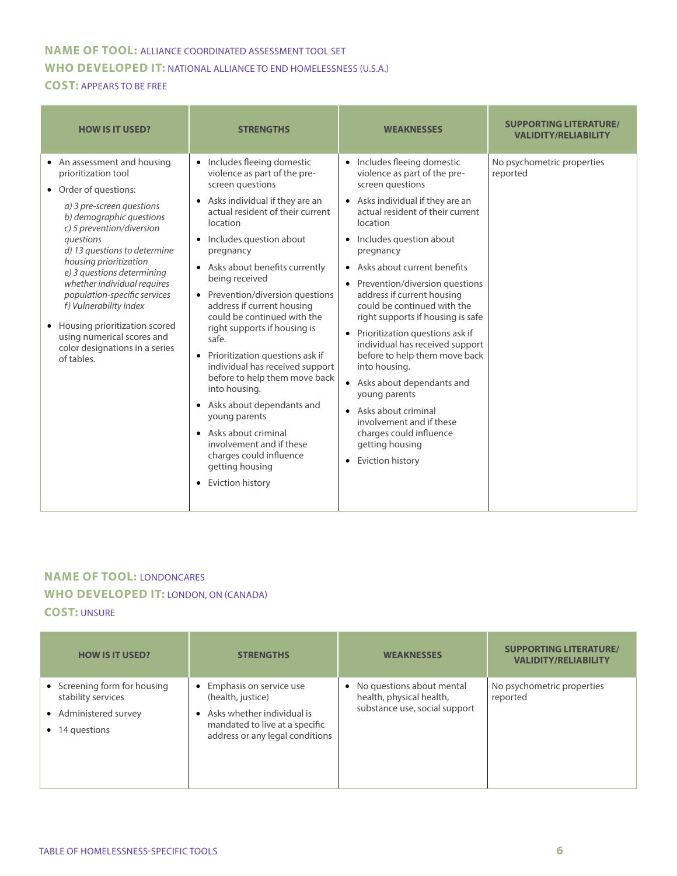#### **NAME OF TOOL:** ALLIANCE COORDINATED ASSESSMENT TOOL SET **WHO DEVELOPED IT:** NATIONAL ALLIANCE TO END HOMELESSNESS (U.S.A.) **COST:** APPEARS TO BE FREE

| <b>HOW IS IT USED?</b>                                                                                                                                                                                                                                                                                                                                                                                                                                                           | <b>STRENGTHS</b>                                                                                                                                                                                                                                                                                                                                                                                                                                                                                                                                                                                                                                                                                                                                      | <b>WEAKNESSES</b>                                                                                                                                                                                                                                                                                                                                                                                                                                                                                                                                                                                                                                                                                  | <b>SUPPORTING LITERATURE/</b><br><b>VALIDITY/RELIABILITY</b> |
|----------------------------------------------------------------------------------------------------------------------------------------------------------------------------------------------------------------------------------------------------------------------------------------------------------------------------------------------------------------------------------------------------------------------------------------------------------------------------------|-------------------------------------------------------------------------------------------------------------------------------------------------------------------------------------------------------------------------------------------------------------------------------------------------------------------------------------------------------------------------------------------------------------------------------------------------------------------------------------------------------------------------------------------------------------------------------------------------------------------------------------------------------------------------------------------------------------------------------------------------------|----------------------------------------------------------------------------------------------------------------------------------------------------------------------------------------------------------------------------------------------------------------------------------------------------------------------------------------------------------------------------------------------------------------------------------------------------------------------------------------------------------------------------------------------------------------------------------------------------------------------------------------------------------------------------------------------------|--------------------------------------------------------------|
| • An assessment and housing<br>prioritization tool<br>• Order of questions:<br>a) 3 pre-screen questions<br>b) demographic questions<br>c) 5 prevention/diversion<br>questions<br>d) 13 questions to determine<br>housing prioritization<br>e) 3 questions determining<br>whether individual requires<br>population-specific services<br>f) Vulnerability Index<br>• Housing prioritization scored<br>using numerical scores and<br>color designations in a series<br>of tables. | Includes fleeing domestic<br>violence as part of the pre-<br>screen questions<br>Asks individual if they are an<br>actual resident of their current<br>location<br>Includes question about<br>$\bullet$<br>pregnancy<br>Asks about benefits currently<br>$\bullet$<br>being received<br>Prevention/diversion questions<br>address if current housing<br>could be continued with the<br>right supports if housing is<br>safe.<br>Prioritization questions ask if<br>$\bullet$<br>individual has received support<br>before to help them move back<br>into housing.<br>• Asks about dependants and<br>young parents<br>• Asks about criminal<br>involvement and if these<br>charges could influence<br>getting housing<br>Eviction history<br>$\bullet$ | • Includes fleeing domestic<br>violence as part of the pre-<br>screen questions<br>• Asks individual if they are an<br>actual resident of their current<br>location<br>• Includes question about<br>pregnancy<br>• Asks about current benefits<br>• Prevention/diversion questions<br>address if current housing<br>could be continued with the<br>right supports if housing is safe<br>Prioritization questions ask if<br>$\bullet$<br>individual has received support<br>before to help them move back<br>into housing.<br>• Asks about dependants and<br>young parents<br>• Asks about criminal<br>involvement and if these<br>charges could influence<br>getting housing<br>• Eviction history | No psychometric properties<br>reported                       |

## **NAME OF TOOL:** LONDONCARES **WHO DEVELOPED IT:** LONDON, ON (CANADA)

#### **COST:** UNSURE

| <b>HOW IS IT USED?</b>                                                                                | <b>STRENGTHS</b>                                                                                                                                             | <b>WEAKNESSES</b>                                                                        | <b>SUPPORTING LITERATURE/</b><br><b>VALIDITY/RELIABILITY</b> |
|-------------------------------------------------------------------------------------------------------|--------------------------------------------------------------------------------------------------------------------------------------------------------------|------------------------------------------------------------------------------------------|--------------------------------------------------------------|
| • Screening form for housing<br>stability services<br>• Administered survey<br>$\bullet$ 14 questions | Emphasis on service use<br>$\bullet$<br>(health, justice)<br>Asks whether individual is<br>mandated to live at a specific<br>address or any legal conditions | • No questions about mental<br>health, physical health,<br>substance use, social support | No psychometric properties<br>reported                       |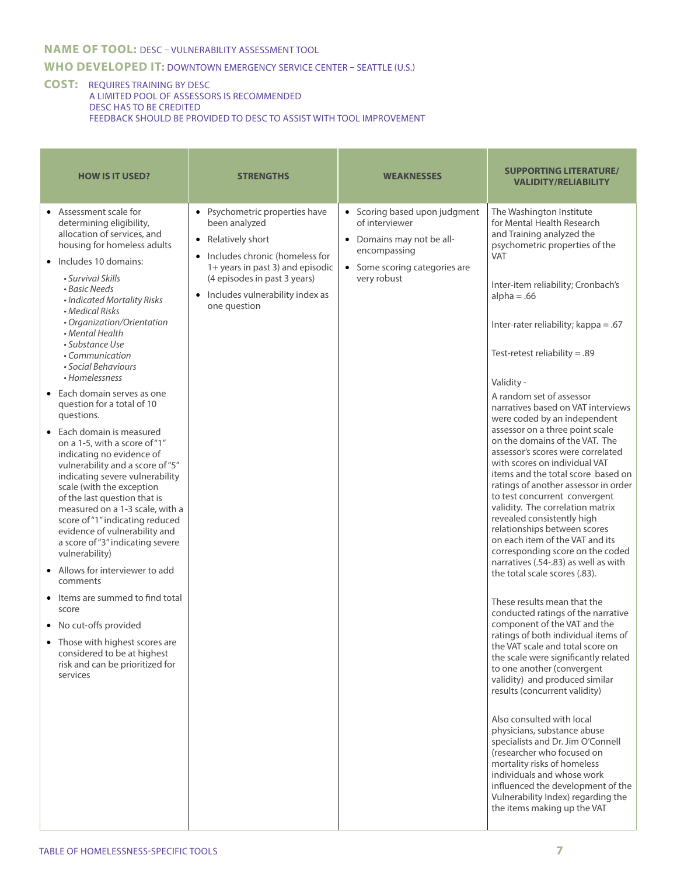#### **NAME OF TOOL:** DESC – VULNERABILITY ASSESSMENT TOOL

#### **WHO DEVELOPED IT:** DOWNTOWN EMERGENCY SERVICE CENTER – SEATTLE (U.S.)

#### **COST:** REQUIRES TRAINING BY DESC A LIMITED POOL OF ASSESSORS IS RECOMMENDED DESC HAS TO BE CREDITED FEEDBACK SHOULD BE PROVIDED TO DESC TO ASSIST WITH TOOL IMPROVEMENT

| • Assessment scale for<br>• Scoring based upon judgment<br>Psychometric properties have<br>The Washington Institute<br>for Mental Health Research<br>been analyzed<br>of interviewer<br>determining eligibility,<br>allocation of services, and<br>and Training analyzed the<br>Relatively short<br>• Domains may not be all-<br>$\bullet$<br>housing for homeless adults<br>psychometric properties of the<br>encompassing<br>Includes chronic (homeless for<br><b>VAT</b><br>• Includes 10 domains:<br>1+ years in past 3) and episodic<br>• Some scoring categories are<br>• Survival Skills<br>(4 episodes in past 3 years)<br>very robust<br>Inter-item reliability; Cronbach's<br>• Basic Needs<br>Includes vulnerability index as<br>$alpha = .66$<br>• Indicated Mortality Risks<br>one question<br>• Medical Risks<br>• Organization/Orientation<br>Inter-rater reliability; kappa = .67<br>• Mental Health<br>• Substance Use<br>Test-retest reliability = $.89$<br>• Communication<br>• Social Behaviours<br>• Homelessness<br>Validity -<br>• Each domain serves as one<br>A random set of assessor<br>question for a total of 10<br>narratives based on VAT interviews<br>questions.<br>were coded by an independent<br>assessor on a three point scale<br>• Each domain is measured<br>on the domains of the VAT. The<br>on a 1-5, with a score of "1"<br>assessor's scores were correlated<br>indicating no evidence of<br>with scores on individual VAT<br>vulnerability and a score of "5"<br>indicating severe vulnerability<br>scale (with the exception<br>to test concurrent convergent<br>of the last question that is<br>validity. The correlation matrix<br>measured on a 1-3 scale, with a<br>revealed consistently high<br>score of "1" indicating reduced<br>relationships between scores<br>evidence of vulnerability and<br>on each item of the VAT and its<br>a score of "3" indicating severe<br>corresponding score on the coded<br>vulnerability)<br>narratives (.54-.83) as well as with<br>• Allows for interviewer to add<br>the total scale scores (.83).<br>comments<br>• Items are summed to find total<br>These results mean that the<br>score<br>conducted ratings of the narrative<br>component of the VAT and the<br>• No cut-offs provided<br>ratings of both individual items of<br>• Those with highest scores are<br>the VAT scale and total score on<br>considered to be at highest<br>the scale were significantly related<br>risk and can be prioritized for<br>to one another (convergent<br>services<br>validity) and produced similar<br>results (concurrent validity)<br>Also consulted with local<br>physicians, substance abuse<br>specialists and Dr. Jim O'Connell<br>(researcher who focused on | <b>HOW IS IT USED?</b> | <b>STRENGTHS</b> | <b>WEAKNESSES</b> | <b>SUPPORTING LITERATURE/</b><br><b>VALIDITY/RELIABILITY</b>                                                    |
|------------------------------------------------------------------------------------------------------------------------------------------------------------------------------------------------------------------------------------------------------------------------------------------------------------------------------------------------------------------------------------------------------------------------------------------------------------------------------------------------------------------------------------------------------------------------------------------------------------------------------------------------------------------------------------------------------------------------------------------------------------------------------------------------------------------------------------------------------------------------------------------------------------------------------------------------------------------------------------------------------------------------------------------------------------------------------------------------------------------------------------------------------------------------------------------------------------------------------------------------------------------------------------------------------------------------------------------------------------------------------------------------------------------------------------------------------------------------------------------------------------------------------------------------------------------------------------------------------------------------------------------------------------------------------------------------------------------------------------------------------------------------------------------------------------------------------------------------------------------------------------------------------------------------------------------------------------------------------------------------------------------------------------------------------------------------------------------------------------------------------------------------------------------------------------------------------------------------------------------------------------------------------------------------------------------------------------------------------------------------------------------------------------------------------------------------------------------------------------------------------------------------------------------------------------------------------------------------------------------------------------------------------------------------------------------------------------------------------------------------------------|------------------------|------------------|-------------------|-----------------------------------------------------------------------------------------------------------------|
| mortality risks of homeless<br>individuals and whose work<br>Vulnerability Index) regarding the<br>the items making up the VAT                                                                                                                                                                                                                                                                                                                                                                                                                                                                                                                                                                                                                                                                                                                                                                                                                                                                                                                                                                                                                                                                                                                                                                                                                                                                                                                                                                                                                                                                                                                                                                                                                                                                                                                                                                                                                                                                                                                                                                                                                                                                                                                                                                                                                                                                                                                                                                                                                                                                                                                                                                                                                             |                        |                  |                   | items and the total score based on<br>ratings of another assessor in order<br>influenced the development of the |

 $\overline{\phantom{a}}$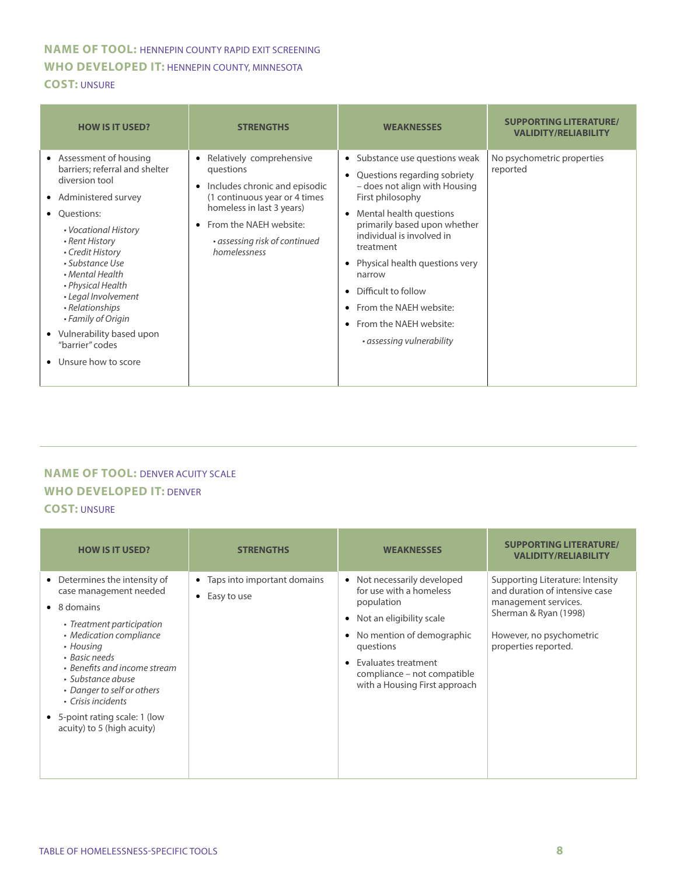#### **NAME OF TOOL:** HENNEPIN COUNTY RAPID EXIT SCREENING **WHO DEVELOPED IT:** HENNEPIN COUNTY, MINNESOTA **COST:** UNSURE

| <b>HOW IS IT USED?</b>                                                                                                                                                                                                                                                                                                                                                                           | <b>STRENGTHS</b>                                                                                                                                                                                                                          | <b>WEAKNESSES</b>                                                                                                                                                                                                                                                                                                                                                                         | <b>SUPPORTING LITERATURE/</b><br><b>VALIDITY/RELIABILITY</b> |
|--------------------------------------------------------------------------------------------------------------------------------------------------------------------------------------------------------------------------------------------------------------------------------------------------------------------------------------------------------------------------------------------------|-------------------------------------------------------------------------------------------------------------------------------------------------------------------------------------------------------------------------------------------|-------------------------------------------------------------------------------------------------------------------------------------------------------------------------------------------------------------------------------------------------------------------------------------------------------------------------------------------------------------------------------------------|--------------------------------------------------------------|
| • Assessment of housing<br>barriers; referral and shelter<br>diversion tool<br>• Administered survey<br>Ouestions:<br>$\bullet$<br>• Vocational History<br>• Rent History<br>• Credit History<br>• Substance Use<br>• Mental Health<br>• Physical Health<br>• Legal Involvement<br>• Relationships<br>• Family of Origin<br>• Vulnerability based upon<br>"barrier" codes<br>Unsure how to score | Relatively comprehensive<br>questions<br>Includes chronic and episodic<br>$\bullet$<br>(1 continuous year or 4 times<br>homeless in last 3 years)<br>From the NAEH website:<br>$\bullet$<br>• assessing risk of continued<br>homelessness | • Substance use questions weak<br>Questions regarding sobriety<br>- does not align with Housing<br>First philosophy<br>Mental health questions<br>$\bullet$<br>primarily based upon whether<br>individual is involved in<br>treatment<br>Physical health questions very<br>narrow<br>Difficult to follow<br>From the NAEH website:<br>From the NAEH website:<br>• assessing vulnerability | No psychometric properties<br>reported                       |

#### **NAME OF TOOL: DENVER ACUITY SCALE WHO DEVELOPED IT:** DENVER **COST:** UNSURE

| <b>HOW IS IT USED?</b>                                                                                                                                                                                                                                                                                                                        | <b>STRENGTHS</b>                                             | <b>WEAKNESSES</b>                                                                                                                                                                                                                                   | <b>SUPPORTING LITERATURE/</b><br><b>VALIDITY/RELIABILITY</b>                                                                                                            |
|-----------------------------------------------------------------------------------------------------------------------------------------------------------------------------------------------------------------------------------------------------------------------------------------------------------------------------------------------|--------------------------------------------------------------|-----------------------------------------------------------------------------------------------------------------------------------------------------------------------------------------------------------------------------------------------------|-------------------------------------------------------------------------------------------------------------------------------------------------------------------------|
| • Determines the intensity of<br>case management needed<br>$\bullet$ 8 domains<br>• Treatment participation<br>• Medication compliance<br>• Housing<br>• Basic needs<br>• Benefits and income stream<br>• Substance abuse<br>• Danger to self or others<br>• Crisis incidents<br>• 5-point rating scale: 1 (low<br>acuity) to 5 (high acuity) | Taps into important domains<br>$\bullet$<br>Easy to use<br>٠ | • Not necessarily developed<br>for use with a homeless<br>population<br>Not an eligibility scale<br>٠<br>No mention of demographic<br>questions<br>Evaluates treatment<br>$\bullet$<br>compliance - not compatible<br>with a Housing First approach | Supporting Literature: Intensity<br>and duration of intensive case<br>management services.<br>Sherman & Ryan (1998)<br>However, no psychometric<br>properties reported. |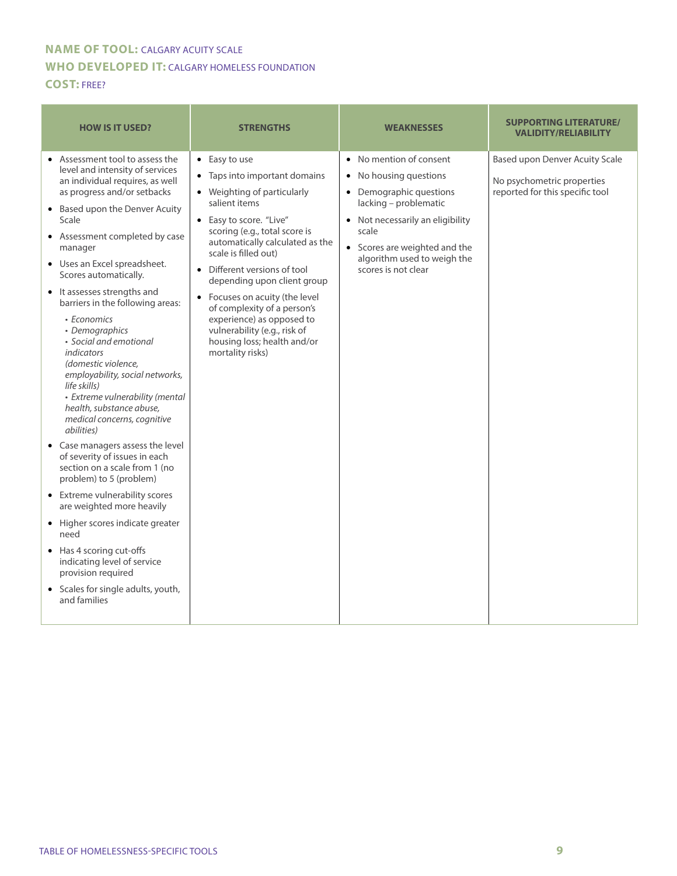#### **NAME OF TOOL:** CALGARY ACUITY SCALE **WHO DEVELOPED IT:** CALGARY HOMELESS FOUNDATION **COST:** FREE?

| <b>HOW IS IT USED?</b>                                                                                                                                                                                                                                                                                                                                                                                                                                                                                                                                                                                                                                                                                                                                                                                                                                                                                                                                                                                                                                       | <b>STRENGTHS</b>                                                                                                                                                                                                                                                                                                                                                                                                                    | <b>WEAKNESSES</b>                                                                                                                                                                                                                                               | <b>SUPPORTING LITERATURE/</b><br><b>VALIDITY/RELIABILITY</b>                                    |
|--------------------------------------------------------------------------------------------------------------------------------------------------------------------------------------------------------------------------------------------------------------------------------------------------------------------------------------------------------------------------------------------------------------------------------------------------------------------------------------------------------------------------------------------------------------------------------------------------------------------------------------------------------------------------------------------------------------------------------------------------------------------------------------------------------------------------------------------------------------------------------------------------------------------------------------------------------------------------------------------------------------------------------------------------------------|-------------------------------------------------------------------------------------------------------------------------------------------------------------------------------------------------------------------------------------------------------------------------------------------------------------------------------------------------------------------------------------------------------------------------------------|-----------------------------------------------------------------------------------------------------------------------------------------------------------------------------------------------------------------------------------------------------------------|-------------------------------------------------------------------------------------------------|
| • Assessment tool to assess the<br>$\bullet$ Easy to use<br>level and intensity of services<br>an individual requires, as well<br>as progress and/or setbacks<br>salient items<br>• Based upon the Denver Acuity<br>Scale<br>• Assessment completed by case<br>manager<br>• Uses an Excel spreadsheet.<br>Scores automatically.<br>• It assesses strengths and<br>barriers in the following areas:<br>• Economics<br>• Demographics<br>· Social and emotional<br>indicators<br>(domestic violence,<br>employability, social networks,<br>life skills)<br>• Extreme vulnerability (mental<br>health, substance abuse,<br>medical concerns, cognitive<br><i>abilities</i> )<br>• Case managers assess the level<br>of severity of issues in each<br>section on a scale from 1 (no<br>problem) to 5 (problem)<br>• Extreme vulnerability scores<br>are weighted more heavily<br>• Higher scores indicate greater<br>need<br>• Has 4 scoring cut-offs<br>indicating level of service<br>provision required<br>• Scales for single adults, youth,<br>and families | • Taps into important domains<br>• Weighting of particularly<br>• Easy to score. "Live"<br>scoring (e.g., total score is<br>automatically calculated as the<br>scale is filled out)<br>• Different versions of tool<br>depending upon client group<br>• Focuses on acuity (the level<br>of complexity of a person's<br>experience) as opposed to<br>vulnerability (e.g., risk of<br>housing loss; health and/or<br>mortality risks) | No mention of consent<br>$\bullet$<br>No housing questions<br>$\bullet$<br>• Demographic questions<br>lacking - problematic<br>• Not necessarily an eligibility<br>scale<br>• Scores are weighted and the<br>algorithm used to weigh the<br>scores is not clear | Based upon Denver Acuity Scale<br>No psychometric properties<br>reported for this specific tool |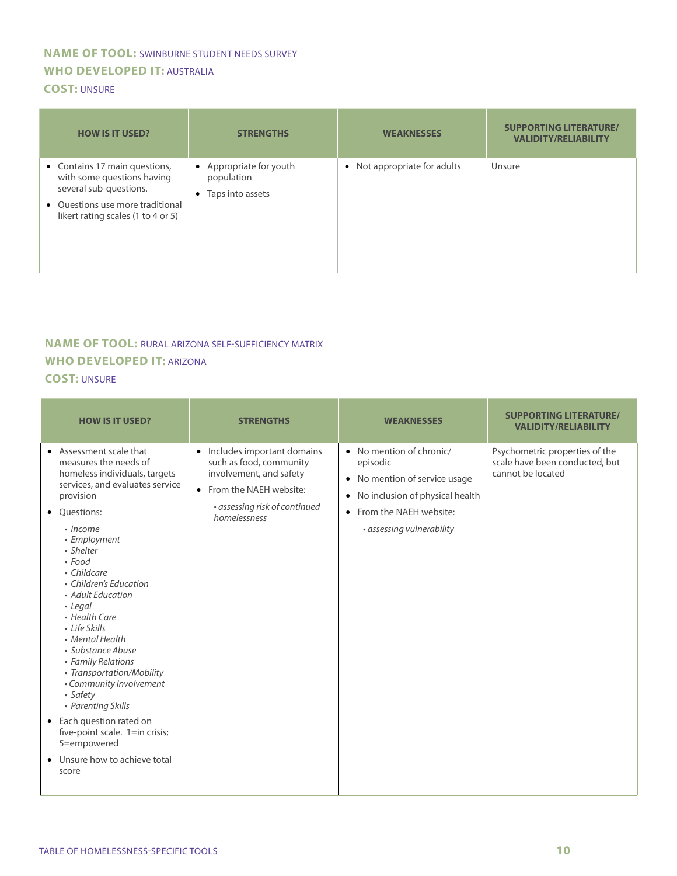## **NAME OF TOOL:** SWINBURNE STUDENT NEEDS SURVEY **WHO DEVELOPED IT:** AUSTRALIA

#### **COST:** UNSURE

| <b>HOW IS IT USED?</b>                                                                                                                                          | <b>STRENGTHS</b>                                          | <b>WEAKNESSES</b>            | <b>SUPPORTING LITERATURE/</b><br><b>VALIDITY/RELIABILITY</b> |
|-----------------------------------------------------------------------------------------------------------------------------------------------------------------|-----------------------------------------------------------|------------------------------|--------------------------------------------------------------|
| • Contains 17 main questions,<br>with some questions having<br>several sub-questions.<br>• Ouestions use more traditional<br>likert rating scales (1 to 4 or 5) | • Appropriate for youth<br>population<br>Taps into assets | • Not appropriate for adults | Unsure                                                       |

# **NAME OF TOOL:** RURAL ARIZONA SELF-SUFFICIENCY MATRIX **WHO DEVELOPED IT:** ARIZONA

#### **COST:** UNSURE

| <b>HOW IS IT USED?</b>                                                                                                                                                                                                                                                                                                                                                                                                                                                                                                                                                                             | <b>STRENGTHS</b>                                                                                                                                                           | <b>WEAKNESSES</b>                                                                                                                                                   | <b>SUPPORTING LITERATURE/</b><br><b>VALIDITY/RELIABILITY</b>                          |
|----------------------------------------------------------------------------------------------------------------------------------------------------------------------------------------------------------------------------------------------------------------------------------------------------------------------------------------------------------------------------------------------------------------------------------------------------------------------------------------------------------------------------------------------------------------------------------------------------|----------------------------------------------------------------------------------------------------------------------------------------------------------------------------|---------------------------------------------------------------------------------------------------------------------------------------------------------------------|---------------------------------------------------------------------------------------|
| • Assessment scale that<br>measures the needs of<br>homeless individuals, targets<br>services, and evaluates service<br>provision<br>• Questions:<br>• Income<br>• Employment<br>• Shelter<br>$\cdot$ Food<br>• Childcare<br>• Children's Education<br>• Adult Education<br>• Legal<br>• Health Care<br>• Life Skills<br>• Mental Health<br>• Substance Abuse<br>• Family Relations<br>• Transportation/Mobility<br>• Community Involvement<br>• Safety<br>• Parenting Skills<br>• Each question rated on<br>five-point scale. 1=in crisis;<br>5=empowered<br>Unsure how to achieve total<br>score | Includes important domains<br>$\bullet$<br>such as food, community<br>involvement, and safety<br>• From the NAEH website:<br>· assessing risk of continued<br>homelessness | • No mention of chronic/<br>episodic<br>• No mention of service usage<br>• No inclusion of physical health<br>• From the NAEH website:<br>• assessing vulnerability | Psychometric properties of the<br>scale have been conducted, but<br>cannot be located |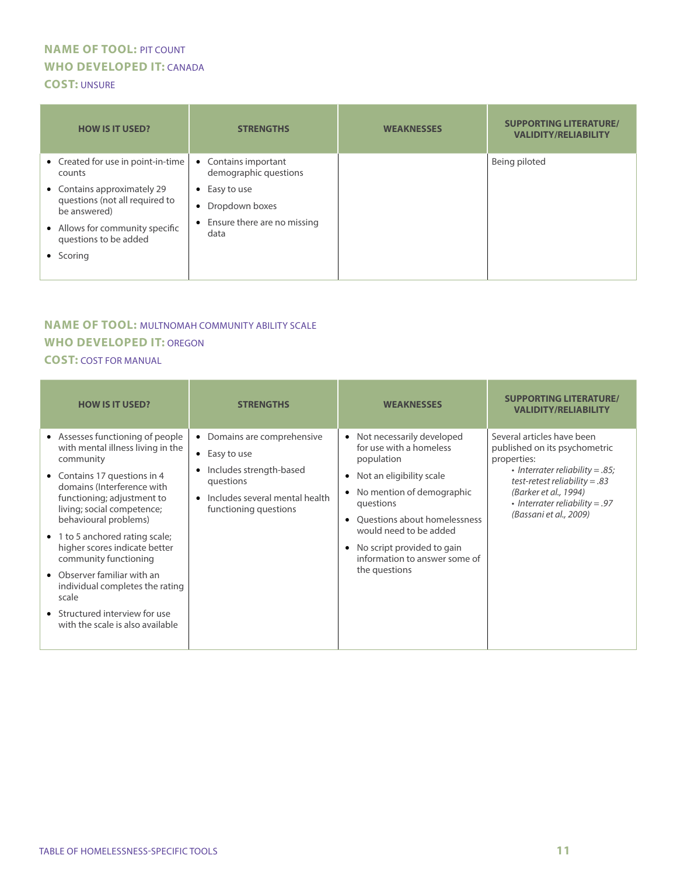#### **NAME OF TOOL:** PIT COUNT **WHO DEVELOPED IT:** CANADA **COST:** UNSURE

| <b>HOW IS IT USED?</b>                                                        | <b>STRENGTHS</b>                              | <b>WEAKNESSES</b> | <b>SUPPORTING LITERATURE/</b><br><b>VALIDITY/RELIABILITY</b> |
|-------------------------------------------------------------------------------|-----------------------------------------------|-------------------|--------------------------------------------------------------|
| • Created for use in point-in-time<br>counts                                  | • Contains important<br>demographic questions |                   | Being piloted                                                |
| • Contains approximately 29<br>questions (not all required to<br>be answered) | Easy to use<br>$\bullet$                      |                   |                                                              |
|                                                                               | Dropdown boxes<br>$\bullet$                   |                   |                                                              |
| • Allows for community specific<br>questions to be added                      | • Ensure there are no missing<br>data         |                   |                                                              |
| • Scoring                                                                     |                                               |                   |                                                              |
|                                                                               |                                               |                   |                                                              |

### **NAME OF TOOL:** MULTNOMAH COMMUNITY ABILITY SCALE **WHO DEVELOPED IT:** OREGON

#### **COST:** COST FOR MANUAL

| <b>HOW IS IT USED?</b>                                                                                                                                                                                                                                                                                                                                                                                                                                                              | <b>STRENGTHS</b>                                                                                                                                                      | <b>WEAKNESSES</b>                                                                                                                                                                                                                                                                                 | <b>SUPPORTING LITERATURE/</b><br><b>VALIDITY/RELIABILITY</b>                                                                                                                                                                             |
|-------------------------------------------------------------------------------------------------------------------------------------------------------------------------------------------------------------------------------------------------------------------------------------------------------------------------------------------------------------------------------------------------------------------------------------------------------------------------------------|-----------------------------------------------------------------------------------------------------------------------------------------------------------------------|---------------------------------------------------------------------------------------------------------------------------------------------------------------------------------------------------------------------------------------------------------------------------------------------------|------------------------------------------------------------------------------------------------------------------------------------------------------------------------------------------------------------------------------------------|
| • Assesses functioning of people<br>with mental illness living in the<br>community<br>• Contains 17 questions in 4<br>domains (Interference with<br>functioning; adjustment to<br>living; social competence;<br>behavioural problems)<br>• 1 to 5 anchored rating scale;<br>higher scores indicate better<br>community functioning<br>• Observer familiar with an<br>individual completes the rating<br>scale<br>• Structured interview for use<br>with the scale is also available | Domains are comprehensive<br>Easy to use<br>$\bullet$<br>Includes strength-based<br>$\bullet$<br>questions<br>Includes several mental health<br>functioning questions | • Not necessarily developed<br>for use with a homeless<br>population<br>Not an eligibility scale<br>No mention of demographic<br>$\bullet$<br>questions<br>Ouestions about homelessness<br>would need to be added<br>No script provided to gain<br>information to answer some of<br>the questions | Several articles have been<br>published on its psychometric<br>properties:<br>• Interrater reliability = $.85$ ;<br>test-retest reliability = $.83$<br>(Barker et al., 1994)<br>• Interrater reliability = .97<br>(Bassani et al., 2009) |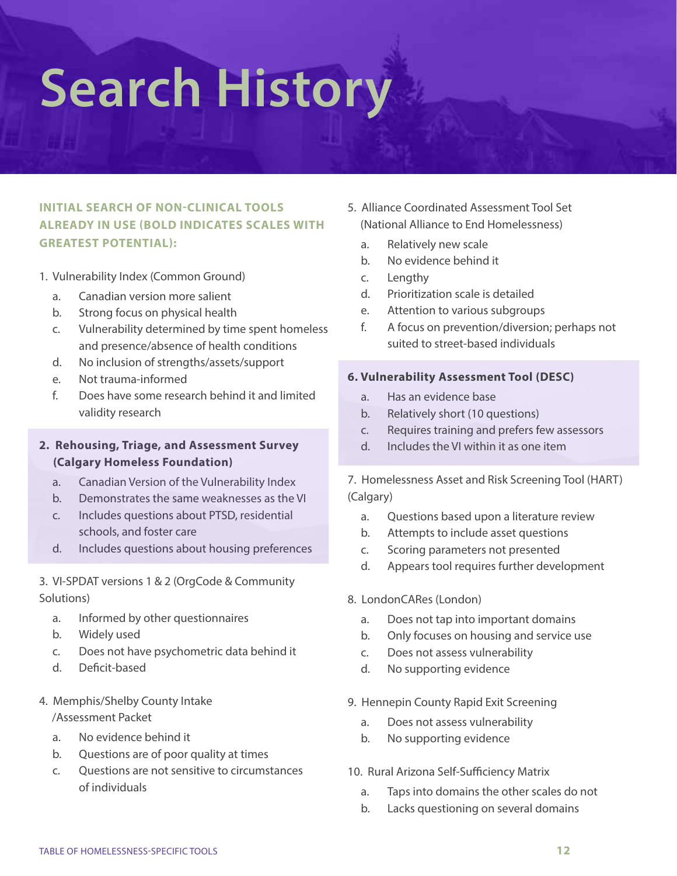# **Search History**

### **INITIAL SEARCH OF NON-CLINICAL TOOLS ALREADY IN USE (BOLD INDICATES SCALES WITH GREATEST POTENTIAL):**

- 1. Vulnerability Index (Common Ground)
	- a. Canadian version more salient
	- b. Strong focus on physical health
	- c. Vulnerability determined by time spent homeless and presence/absence of health conditions
	- d. No inclusion of strengths/assets/support
	- e. Not trauma-informed
	- f. Does have some research behind it and limited validity research

#### **2. Rehousing, Triage, and Assessment Survey (Calgary Homeless Foundation)**

- a. Canadian Version of the Vulnerability Index
- b. Demonstrates the same weaknesses as the VI
- c. Includes questions about PTSD, residential schools, and foster care
- d. Includes questions about housing preferences

3. VI-SPDAT versions 1 & 2 (OrgCode & Community Solutions)

- a. Informed by other questionnaires
- b. Widely used
- c. Does not have psychometric data behind it
- d. Deficit-based
- 4. Memphis/Shelby County Intake /Assessment Packet
	- a. No evidence behind it
	- b. Questions are of poor quality at times
	- c. Questions are not sensitive to circumstances of individuals
- 5. Alliance Coordinated Assessment Tool Set (National Alliance to End Homelessness)
	- a. Relatively new scale
	- b. No evidence behind it
	- c. Lengthy
	- d. Prioritization scale is detailed
	- e. Attention to various subgroups
	- f. A focus on prevention/diversion; perhaps not suited to street-based individuals

#### **6. Vulnerability Assessment Tool (DESC)**

- a. Has an evidence base
- b. Relatively short (10 questions)
- c. Requires training and prefers few assessors
- d. Includes the VI within it as one item

7. Homelessness Asset and Risk Screening Tool (HART) (Calgary)

- a. Questions based upon a literature review
- b. Attempts to include asset questions
- c. Scoring parameters not presented
- d. Appears tool requires further development
- 8. LondonCARes (London)
	- a. Does not tap into important domains
	- b. Only focuses on housing and service use
	- c. Does not assess vulnerability
	- d. No supporting evidence
- 9. Hennepin County Rapid Exit Screening
	- a. Does not assess vulnerability
	- b. No supporting evidence
- 10. Rural Arizona Self-Sufficiency Matrix
	- a. Taps into domains the other scales do not
	- b. Lacks questioning on several domains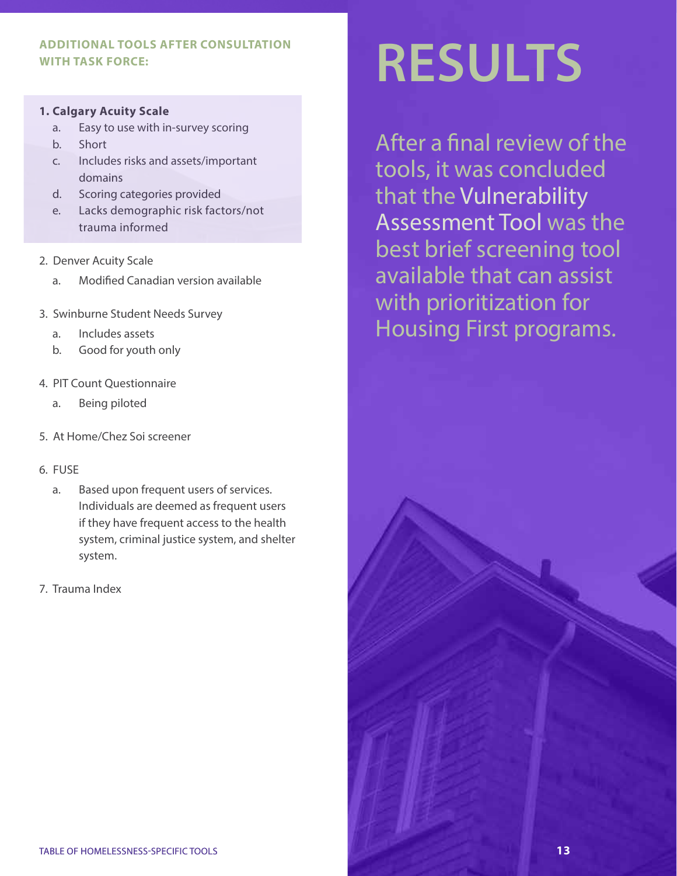#### **ADDITIONAL TOOLS AFTER CONSULTATION WITH TASK FORCE:**

#### **1. Calgary Acuity Scale**

- a. Easy to use with in-survey scoring
- b. Short
- c. Includes risks and assets/important domains
- d. Scoring categories provided
- e. Lacks demographic risk factors/not trauma informed
- 2. Denver Acuity Scale
	- a. Modified Canadian version available
- 3. Swinburne Student Needs Survey
	- a. Includes assets
	- b. Good for youth only
- 4. PIT Count Questionnaire
	- a. Being piloted
- 5. At Home/Chez Soi screener

#### 6. FUSE

- a. Based upon frequent users of services. Individuals are deemed as frequent users if they have frequent access to the health system, criminal justice system, and shelter system.
- 7. Trauma Index

# **RESULTS**

After a final review of the tools, it was concluded that the Vulnerability Assessment Tool was the best brief screening tool available that can assist with prioritization for Housing First programs.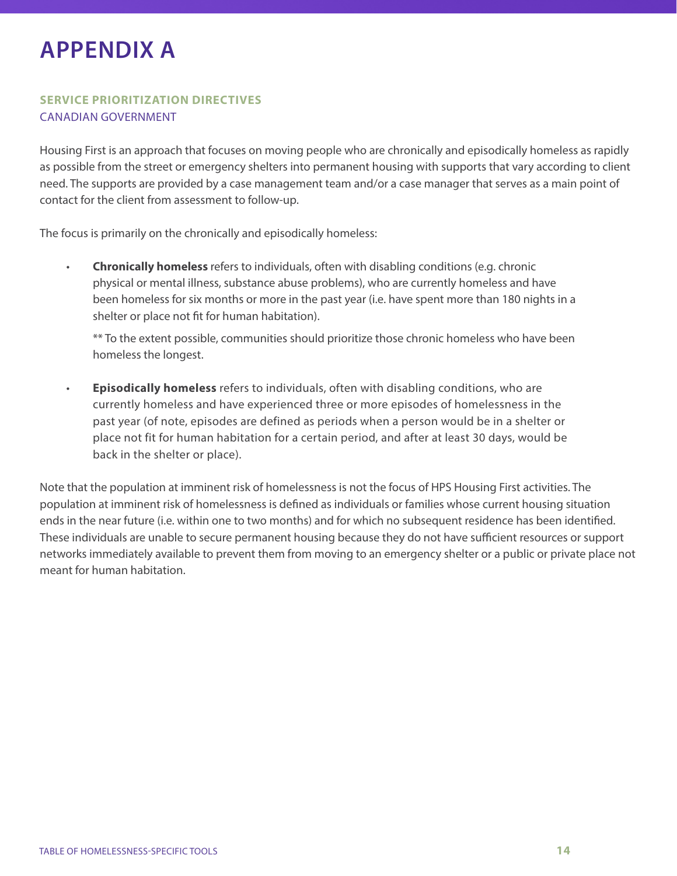# **APPENDIX A**

#### **SERVICE PRIORITIZATION DIRECTIVES**  CANADIAN GOVERNMENT

Housing First is an approach that focuses on moving people who are chronically and episodically homeless as rapidly as possible from the street or emergency shelters into permanent housing with supports that vary according to client need. The supports are provided by a case management team and/or a case manager that serves as a main point of contact for the client from assessment to follow-up.

The focus is primarily on the chronically and episodically homeless:

• **Chronically homeless** refers to individuals, often with disabling conditions (e.g. chronic physical or mental illness, substance abuse problems), who are currently homeless and have been homeless for six months or more in the past year (i.e. have spent more than 180 nights in a shelter or place not fit for human habitation).

\*\* To the extent possible, communities should prioritize those chronic homeless who have been homeless the longest.

• **Episodically homeless** refers to individuals, often with disabling conditions, who are currently homeless and have experienced three or more episodes of homelessness in the past year (of note, episodes are defined as periods when a person would be in a shelter or place not fit for human habitation for a certain period, and after at least 30 days, would be back in the shelter or place).

Note that the population at imminent risk of homelessness is not the focus of HPS Housing First activities. The population at imminent risk of homelessness is defined as individuals or families whose current housing situation ends in the near future (i.e. within one to two months) and for which no subsequent residence has been identified. These individuals are unable to secure permanent housing because they do not have sufficient resources or support networks immediately available to prevent them from moving to an emergency shelter or a public or private place not meant for human habitation.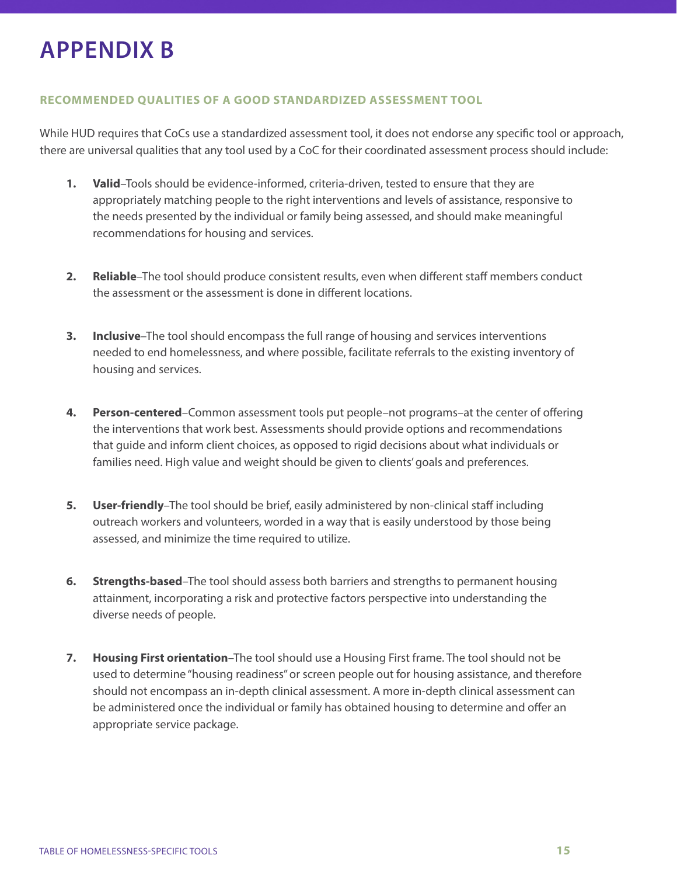# **APPENDIX B**

#### **RECOMMENDED QUALITIES OF A GOOD STANDARDIZED ASSESSMENT TOOL**

While HUD requires that CoCs use a standardized assessment tool, it does not endorse any specific tool or approach, there are universal qualities that any tool used by a CoC for their coordinated assessment process should include:

- **1. Valid**–Tools should be evidence-informed, criteria-driven, tested to ensure that they are appropriately matching people to the right interventions and levels of assistance, responsive to the needs presented by the individual or family being assessed, and should make meaningful recommendations for housing and services.
- **2. Reliable**–The tool should produce consistent results, even when different staff members conduct the assessment or the assessment is done in different locations.
- **3. Inclusive**–The tool should encompass the full range of housing and services interventions needed to end homelessness, and where possible, facilitate referrals to the existing inventory of housing and services.
- **4. Person-centered**–Common assessment tools put people–not programs–at the center of offering the interventions that work best. Assessments should provide options and recommendations that guide and inform client choices, as opposed to rigid decisions about what individuals or families need. High value and weight should be given to clients' goals and preferences.
- **5. User-friendly**–The tool should be brief, easily administered by non-clinical staff including outreach workers and volunteers, worded in a way that is easily understood by those being assessed, and minimize the time required to utilize.
- **6. Strengths-based**–The tool should assess both barriers and strengths to permanent housing attainment, incorporating a risk and protective factors perspective into understanding the diverse needs of people.
- **7. Housing First orientation**–The tool should use a Housing First frame. The tool should not be used to determine "housing readiness" or screen people out for housing assistance, and therefore should not encompass an in-depth clinical assessment. A more in-depth clinical assessment can be administered once the individual or family has obtained housing to determine and offer an appropriate service package.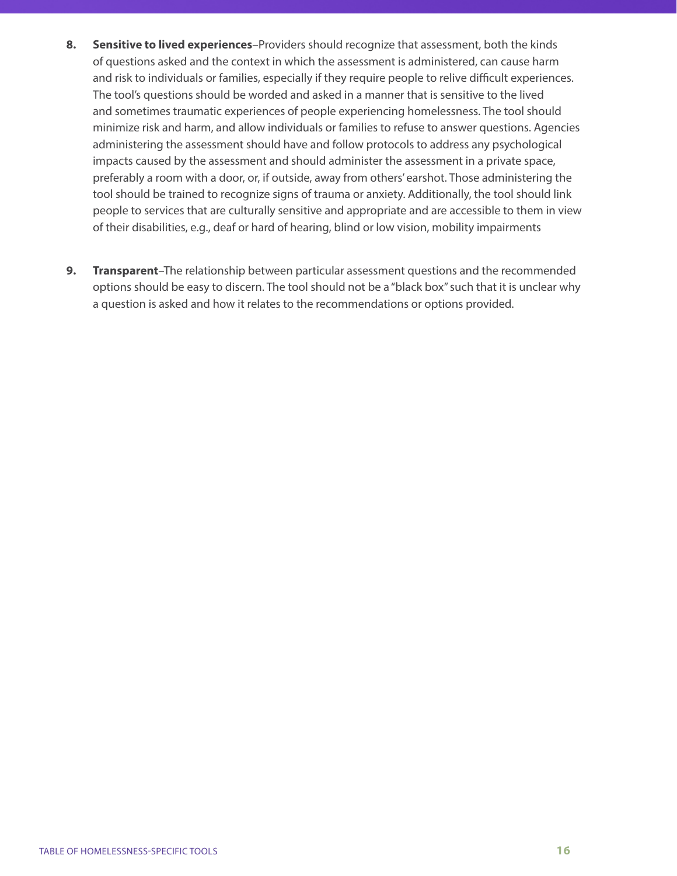- **8. Sensitive to lived experiences**–Providers should recognize that assessment, both the kinds of questions asked and the context in which the assessment is administered, can cause harm and risk to individuals or families, especially if they require people to relive difficult experiences. The tool's questions should be worded and asked in a manner that is sensitive to the lived and sometimes traumatic experiences of people experiencing homelessness. The tool should minimize risk and harm, and allow individuals or families to refuse to answer questions. Agencies administering the assessment should have and follow protocols to address any psychological impacts caused by the assessment and should administer the assessment in a private space, preferably a room with a door, or, if outside, away from others' earshot. Those administering the tool should be trained to recognize signs of trauma or anxiety. Additionally, the tool should link people to services that are culturally sensitive and appropriate and are accessible to them in view of their disabilities, e.g., deaf or hard of hearing, blind or low vision, mobility impairments
- **9. Transparent**–The relationship between particular assessment questions and the recommended options should be easy to discern. The tool should not be a "black box" such that it is unclear why a question is asked and how it relates to the recommendations or options provided.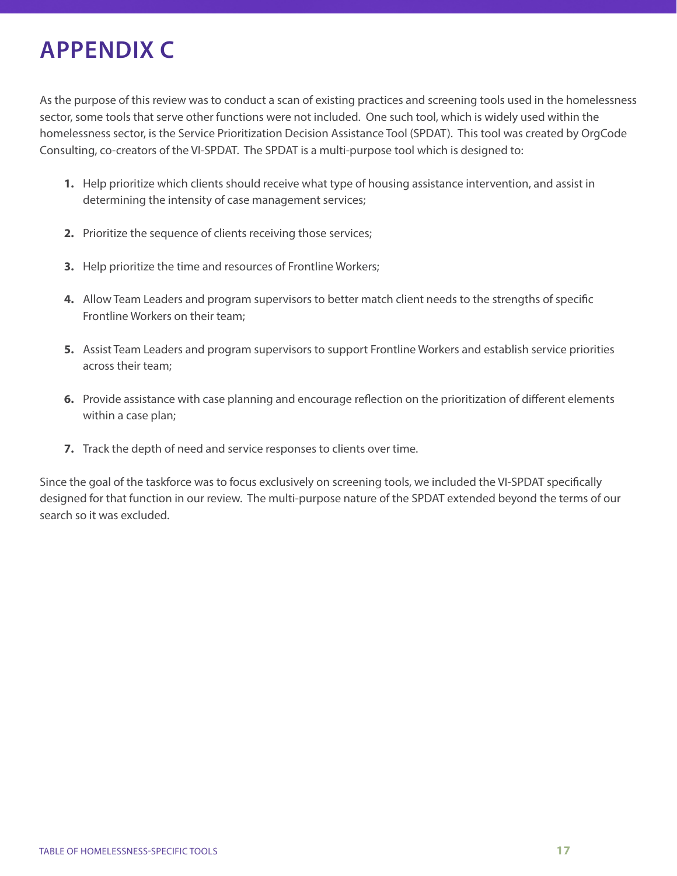# **APPENDIX C**

As the purpose of this review was to conduct a scan of existing practices and screening tools used in the homelessness sector, some tools that serve other functions were not included. One such tool, which is widely used within the homelessness sector, is the Service Prioritization Decision Assistance Tool (SPDAT). This tool was created by OrgCode Consulting, co-creators of the VI-SPDAT. The SPDAT is a multi-purpose tool which is designed to:

- **1.** Help prioritize which clients should receive what type of housing assistance intervention, and assist in determining the intensity of case management services;
- **2.** Prioritize the sequence of clients receiving those services;
- **3.** Help prioritize the time and resources of Frontline Workers;
- **4.** Allow Team Leaders and program supervisors to better match client needs to the strengths of specific Frontline Workers on their team;
- **5.** Assist Team Leaders and program supervisors to support Frontline Workers and establish service priorities across their team;
- **6.** Provide assistance with case planning and encourage reflection on the prioritization of different elements within a case plan;
- **7.** Track the depth of need and service responses to clients over time.

Since the goal of the taskforce was to focus exclusively on screening tools, we included the VI-SPDAT specifically designed for that function in our review. The multi-purpose nature of the SPDAT extended beyond the terms of our search so it was excluded.